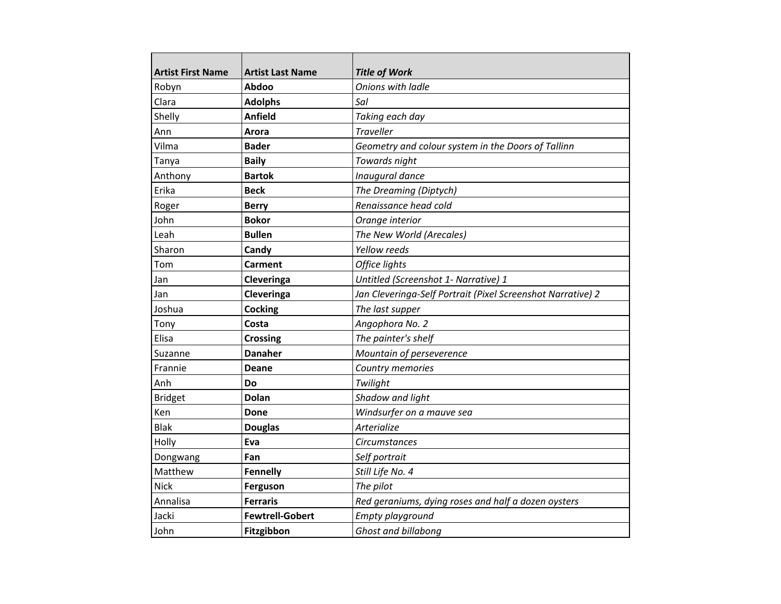| <b>Artist First Name</b> | <b>Artist Last Name</b> | <b>Title of Work</b>                                        |
|--------------------------|-------------------------|-------------------------------------------------------------|
| Robyn                    | Abdoo                   | Onions with ladle<br>Sal                                    |
| Clara                    | <b>Adolphs</b>          |                                                             |
| Shelly                   | <b>Anfield</b>          | Taking each day                                             |
| Ann                      | Arora                   | <b>Traveller</b>                                            |
| Vilma                    | <b>Bader</b>            | Geometry and colour system in the Doors of Tallinn          |
| Tanya                    | <b>Baily</b>            | Towards night                                               |
| Anthony                  | <b>Bartok</b>           | Inaugural dance                                             |
| Erika                    | <b>Beck</b>             | The Dreaming (Diptych)                                      |
| Roger                    | <b>Berry</b>            | Renaissance head cold                                       |
| John                     | <b>Bokor</b>            | Orange interior                                             |
| Leah                     | <b>Bullen</b>           | The New World (Arecales)                                    |
| Sharon                   | Candy                   | Yellow reeds                                                |
| Tom                      | Carment                 | Office lights                                               |
| Jan                      | Cleveringa              | Untitled (Screenshot 1- Narrative) 1                        |
| Jan                      | Cleveringa              | Jan Cleveringa-Self Portrait (Pixel Screenshot Narrative) 2 |
| Joshua                   | <b>Cocking</b>          | The last supper                                             |
| Tony                     | Costa                   | Angophora No. 2                                             |
| Elisa                    | <b>Crossing</b>         | The painter's shelf                                         |
| Suzanne                  | <b>Danaher</b>          | Mountain of perseverence                                    |
| Frannie                  | Deane                   | Country memories                                            |
| Anh                      | Do                      | Twilight                                                    |
| <b>Bridget</b>           | Dolan                   | Shadow and light                                            |
| Ken                      | <b>Done</b>             | Windsurfer on a mauve sea                                   |
| <b>Blak</b>              | <b>Douglas</b>          | Arterialize                                                 |
| Holly                    | Eva                     | <b>Circumstances</b>                                        |
| Dongwang                 | Fan                     | Self portrait                                               |
| Matthew                  | <b>Fennelly</b>         | Still Life No. 4                                            |
| <b>Nick</b>              | Ferguson                | The pilot                                                   |
| Annalisa                 | <b>Ferraris</b>         | Red geraniums, dying roses and half a dozen oysters         |
| Jacki                    | <b>Fewtrell-Gobert</b>  | Empty playground                                            |
| John                     | Fitzgibbon              | Ghost and billabong                                         |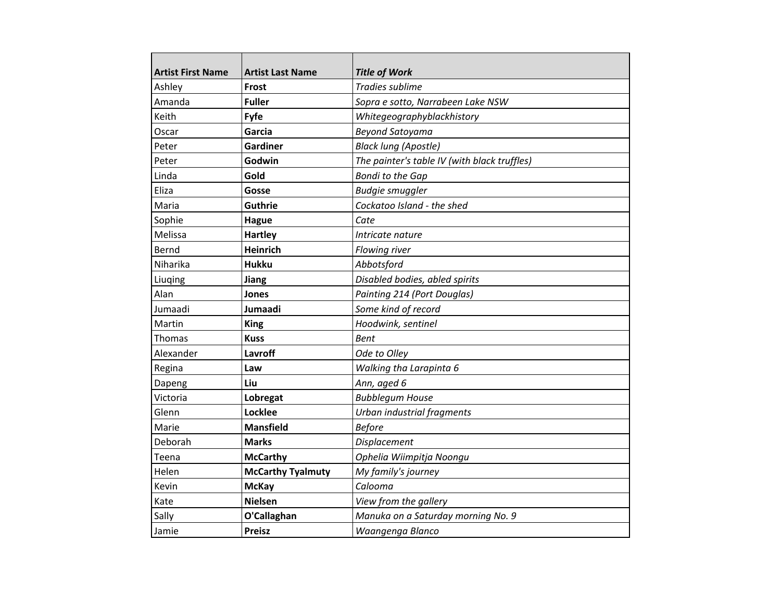| <b>Artist First Name</b> | <b>Artist Last Name</b>  | <b>Title of Work</b>                         |
|--------------------------|--------------------------|----------------------------------------------|
| Ashley                   | Frost                    | Tradies sublime                              |
| Amanda                   | <b>Fuller</b>            | Sopra e sotto, Narrabeen Lake NSW            |
| Keith                    | Fyfe                     | Whitegeographyblackhistory                   |
| Oscar                    | Garcia                   | <b>Beyond Satoyama</b>                       |
| Peter                    | Gardiner                 | <b>Black lung (Apostle)</b>                  |
| Peter                    | Godwin                   | The painter's table IV (with black truffles) |
| Linda                    | Gold                     | <b>Bondi to the Gap</b>                      |
| Eliza                    | Gosse                    | <b>Budgie smuggler</b>                       |
| Maria                    | Guthrie                  | Cockatoo Island - the shed                   |
| Sophie                   | <b>Hague</b>             | Cate                                         |
| Melissa                  | <b>Hartley</b>           | Intricate nature                             |
| Bernd                    | Heinrich                 | Flowing river                                |
| Niharika                 | <b>Hukku</b>             | Abbotsford                                   |
| Liuging                  | Jiang                    | Disabled bodies, abled spirits               |
| Alan                     | Jones                    | Painting 214 (Port Douglas)                  |
| Jumaadi                  | Jumaadi                  | Some kind of record                          |
| Martin                   | <b>King</b>              | Hoodwink, sentinel                           |
| Thomas                   | <b>Kuss</b>              | Bent                                         |
| Alexander                | Lavroff                  | Ode to Olley                                 |
| Regina                   | Law                      | Walking tha Larapinta 6                      |
| Dapeng                   | Liu                      | Ann, aged 6                                  |
| Victoria                 | Lobregat                 | <b>Bubblegum House</b>                       |
| Glenn                    | Locklee                  | Urban industrial fragments                   |
| Marie                    | <b>Mansfield</b>         | <b>Before</b>                                |
| Deborah                  | <b>Marks</b>             | <b>Displacement</b>                          |
| Teena                    | <b>McCarthy</b>          | Ophelia Wiimpitja Noongu                     |
| Helen                    | <b>McCarthy Tyalmuty</b> | My family's journey                          |
| Kevin                    | <b>McKay</b>             | Calooma                                      |
| Kate                     | <b>Nielsen</b>           | View from the gallery                        |
| Sally                    | O'Callaghan              | Manuka on a Saturday morning No. 9           |
| Jamie                    | <b>Preisz</b>            | Waangenga Blanco                             |